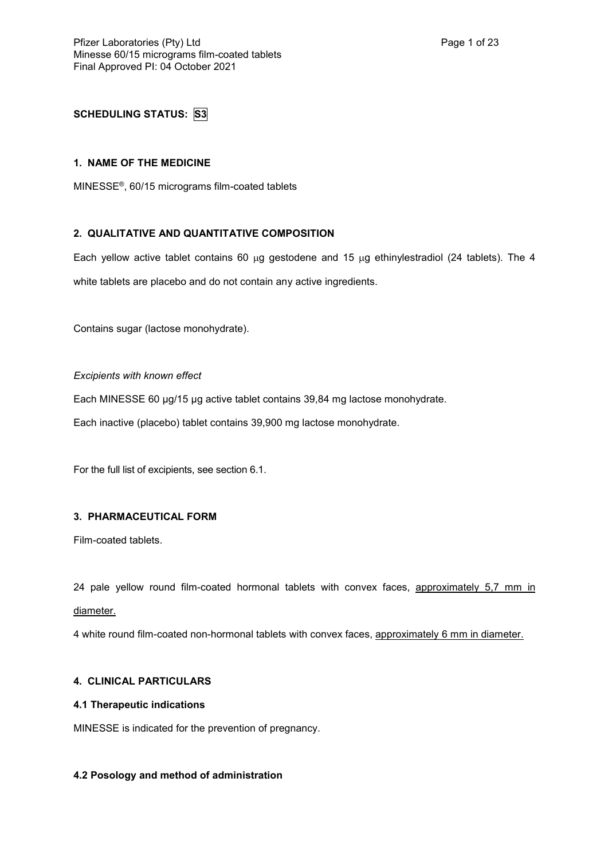# **SCHEDULING STATUS: S3**

## **1. NAME OF THE MEDICINE**

MINESSE®, 60/15 micrograms film-coated tablets

# **2. QUALITATIVE AND QUANTITATIVE COMPOSITION**

Each yellow active tablet contains 60  $\mu$ g gestodene and 15  $\mu$ g ethinylestradiol (24 tablets). The 4 white tablets are placebo and do not contain any active ingredients.

Contains sugar (lactose monohydrate).

*Excipients with known effect*

Each MINESSE 60 µg/15 µg active tablet contains 39,84 mg lactose monohydrate.

Each inactive (placebo) tablet contains 39,900 mg lactose monohydrate.

For the full list of excipients, see section 6.1.

# **3. PHARMACEUTICAL FORM**

Film-coated tablets.

24 pale yellow round film-coated hormonal tablets with convex faces, approximately 5,7 mm in diameter.

4 white round film-coated non-hormonal tablets with convex faces, approximately 6 mm in diameter.

# **4. CLINICAL PARTICULARS**

## **4.1 Therapeutic indications**

MINESSE is indicated for the prevention of pregnancy.

## **4.2 Posology and method of administration**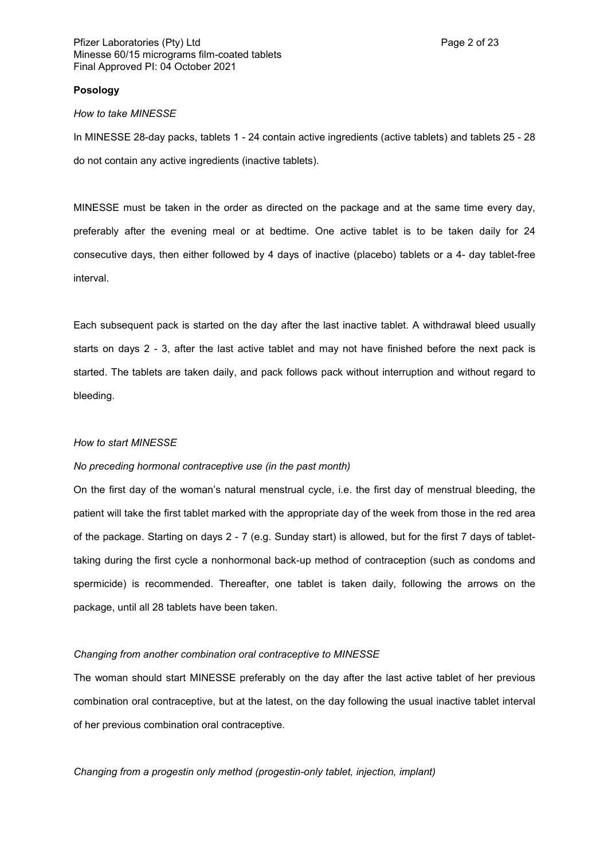#### **Posology**

#### *How to take MINESSE*

In MINESSE 28-day packs, tablets 1 - 24 contain active ingredients (active tablets) and tablets 25 - 28 do not contain any active ingredients (inactive tablets).

MINESSE must be taken in the order as directed on the package and at the same time every day, preferably after the evening meal or at bedtime. One active tablet is to be taken daily for 24 consecutive days, then either followed by 4 days of inactive (placebo) tablets or a 4- day tablet-free interval.

Each subsequent pack is started on the day after the last inactive tablet. A withdrawal bleed usually starts on days 2 - 3, after the last active tablet and may not have finished before the next pack is started. The tablets are taken daily, and pack follows pack without interruption and without regard to bleeding.

## *How to start MINESSE*

## *No preceding hormonal contraceptive use (in the past month)*

On the first day of the woman's natural menstrual cycle, i.e. the first day of menstrual bleeding, the patient will take the first tablet marked with the appropriate day of the week from those in the red area of the package. Starting on days 2 - 7 (e.g. Sunday start) is allowed, but for the first 7 days of tablettaking during the first cycle a nonhormonal back-up method of contraception (such as condoms and spermicide) is recommended. Thereafter, one tablet is taken daily, following the arrows on the package, until all 28 tablets have been taken.

#### *Changing from another combination oral contraceptive to MINESSE*

The woman should start MINESSE preferably on the day after the last active tablet of her previous combination oral contraceptive, but at the latest, on the day following the usual inactive tablet interval of her previous combination oral contraceptive.

*Changing from a progestin only method (progestin-only tablet, injection, implant)*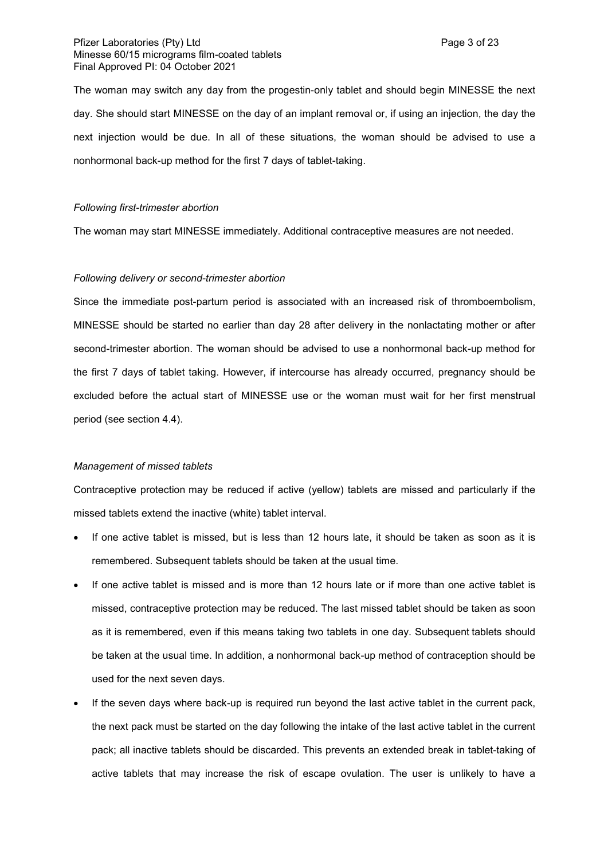## Pfizer Laboratories (Pty) Ltd **Page 3 of 23** Minesse 60/15 micrograms film-coated tablets Final Approved PI: 04 October 2021

The woman may switch any day from the progestin-only tablet and should begin MINESSE the next day. She should start MINESSE on the day of an implant removal or, if using an injection, the day the next injection would be due. In all of these situations, the woman should be advised to use a nonhormonal back-up method for the first 7 days of tablet-taking.

## *Following first-trimester abortion*

The woman may start MINESSE immediately. Additional contraceptive measures are not needed.

## *Following delivery or second-trimester abortion*

Since the immediate post-partum period is associated with an increased risk of thromboembolism, MINESSE should be started no earlier than day 28 after delivery in the nonlactating mother or after second-trimester abortion. The woman should be advised to use a nonhormonal back-up method for the first 7 days of tablet taking. However, if intercourse has already occurred, pregnancy should be excluded before the actual start of MINESSE use or the woman must wait for her first menstrual period (see section 4.4).

#### *Management of missed tablets*

Contraceptive protection may be reduced if active (yellow) tablets are missed and particularly if the missed tablets extend the inactive (white) tablet interval.

- If one active tablet is missed, but is less than 12 hours late, it should be taken as soon as it is remembered. Subsequent tablets should be taken at the usual time.
- If one active tablet is missed and is more than 12 hours late or if more than one active tablet is missed, contraceptive protection may be reduced. The last missed tablet should be taken as soon as it is remembered, even if this means taking two tablets in one day. Subsequent tablets should be taken at the usual time. In addition, a nonhormonal back-up method of contraception should be used for the next seven days.
- If the seven days where back-up is required run beyond the last active tablet in the current pack, the next pack must be started on the day following the intake of the last active tablet in the current pack; all inactive tablets should be discarded. This prevents an extended break in tablet-taking of active tablets that may increase the risk of escape ovulation. The user is unlikely to have a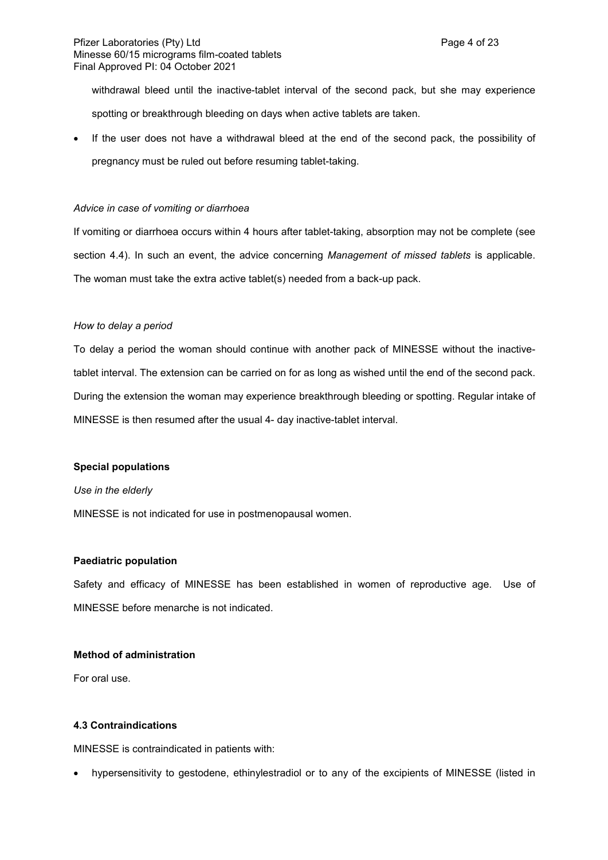withdrawal bleed until the inactive-tablet interval of the second pack, but she may experience spotting or breakthrough bleeding on days when active tablets are taken.

 If the user does not have a withdrawal bleed at the end of the second pack, the possibility of pregnancy must be ruled out before resuming tablet-taking.

## *Advice in case of vomiting or diarrhoea*

If vomiting or diarrhoea occurs within 4 hours after tablet-taking, absorption may not be complete (see section 4.4). In such an event, the advice concerning *Management of missed tablets* is applicable. The woman must take the extra active tablet(s) needed from a back-up pack.

## *How to delay a period*

To delay a period the woman should continue with another pack of MINESSE without the inactivetablet interval. The extension can be carried on for as long as wished until the end of the second pack. During the extension the woman may experience breakthrough bleeding or spotting. Regular intake of MINESSE is then resumed after the usual 4- day inactive-tablet interval.

## **Special populations**

#### *Use in the elderly*

MINESSE is not indicated for use in postmenopausal women.

#### **Paediatric population**

Safety and efficacy of MINESSE has been established in women of reproductive age. Use of MINESSE before menarche is not indicated.

# **Method of administration**

For oral use.

### **4.3 Contraindications**

MINESSE is contraindicated in patients with:

hypersensitivity to gestodene, ethinylestradiol or to any of the excipients of MINESSE (listed in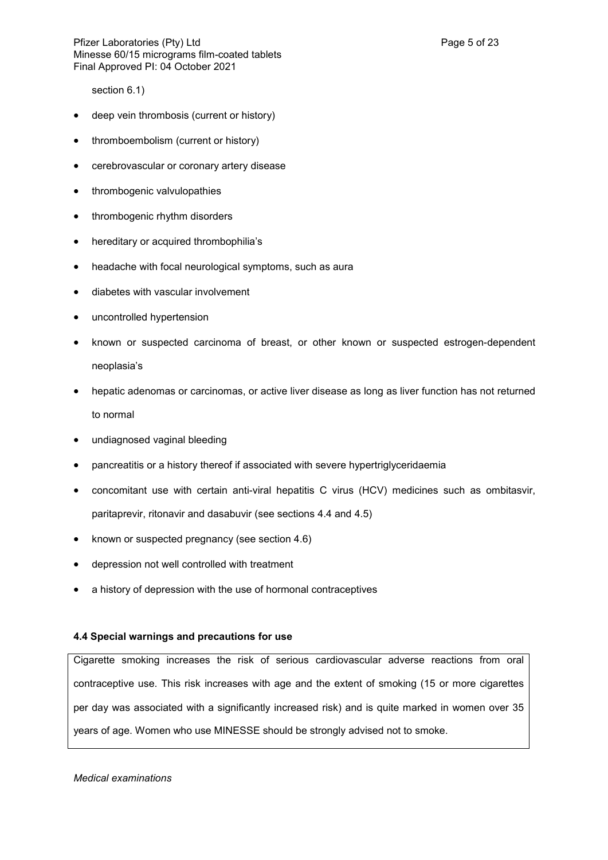section 6.1)

- deep vein thrombosis (current or history)
- thromboembolism (current or history)
- cerebrovascular or coronary artery disease
- thrombogenic valvulopathies
- thrombogenic rhythm disorders
- hereditary or acquired thrombophilia's
- headache with focal neurological symptoms, such as aura
- diabetes with vascular involvement
- uncontrolled hypertension
- known or suspected carcinoma of breast, or other known or suspected estrogen-dependent neoplasia's
- hepatic adenomas or carcinomas, or active liver disease as long as liver function has not returned to normal
- undiagnosed vaginal bleeding
- pancreatitis or a history thereof if associated with severe hypertriglyceridaemia
- concomitant use with certain anti-viral hepatitis C virus (HCV) medicines such as ombitasvir, paritaprevir, ritonavir and dasabuvir (see sections 4.4 and 4.5)
- known or suspected pregnancy (see section 4.6)
- depression not well controlled with treatment
- a history of depression with the use of hormonal contraceptives

## **4.4 Special warnings and precautions for use**

Cigarette smoking increases the risk of serious cardiovascular adverse reactions from oral contraceptive use. This risk increases with age and the extent of smoking (15 or more cigarettes per day was associated with a significantly increased risk) and is quite marked in women over 35 years of age. Women who use MINESSE should be strongly advised not to smoke.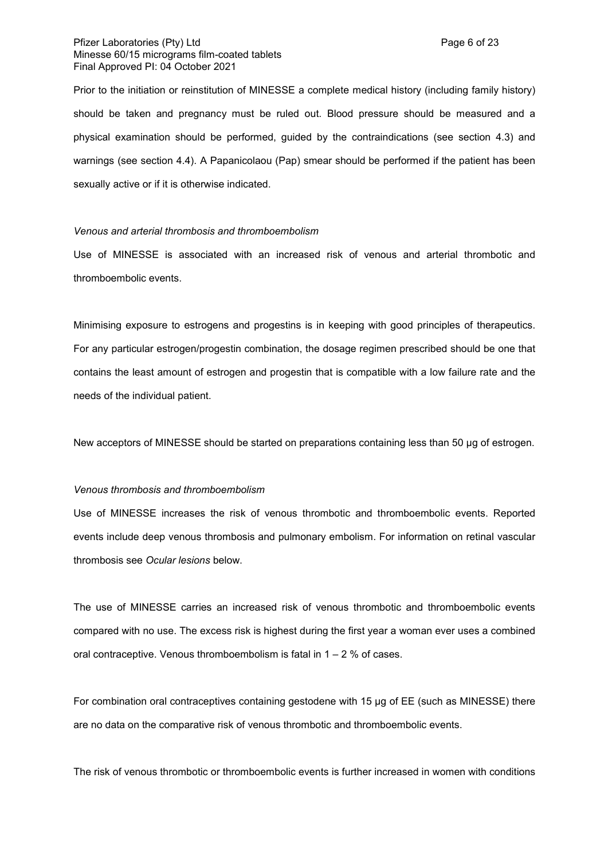## Pfizer Laboratories (Pty) Ltd **Page 6 of 23** Minesse 60/15 micrograms film-coated tablets Final Approved PI: 04 October 2021

Prior to the initiation or reinstitution of MINESSE a complete medical history (including family history) should be taken and pregnancy must be ruled out. Blood pressure should be measured and a physical examination should be performed, guided by the contraindications (see section 4.3) and warnings (see section 4.4). A Papanicolaou (Pap) smear should be performed if the patient has been sexually active or if it is otherwise indicated.

## *Venous and arterial thrombosis and thromboembolism*

Use of MINESSE is associated with an increased risk of venous and arterial thrombotic and thromboembolic events.

Minimising exposure to estrogens and progestins is in keeping with good principles of therapeutics. For any particular estrogen/progestin combination, the dosage regimen prescribed should be one that contains the least amount of estrogen and progestin that is compatible with a low failure rate and the needs of the individual patient.

New acceptors of MINESSE should be started on preparations containing less than 50 µg of estrogen.

#### *Venous thrombosis and thromboembolism*

Use of MINESSE increases the risk of venous thrombotic and thromboembolic events. Reported events include deep venous thrombosis and pulmonary embolism. For information on retinal vascular thrombosis see *Ocular lesions* below.

The use of MINESSE carries an increased risk of venous thrombotic and thromboembolic events compared with no use. The excess risk is highest during the first year a woman ever uses a combined oral contraceptive. Venous thromboembolism is fatal in  $1 - 2$  % of cases.

For combination oral contraceptives containing gestodene with 15 µg of EE (such as MINESSE) there are no data on the comparative risk of venous thrombotic and thromboembolic events.

The risk of venous thrombotic or thromboembolic events is further increased in women with conditions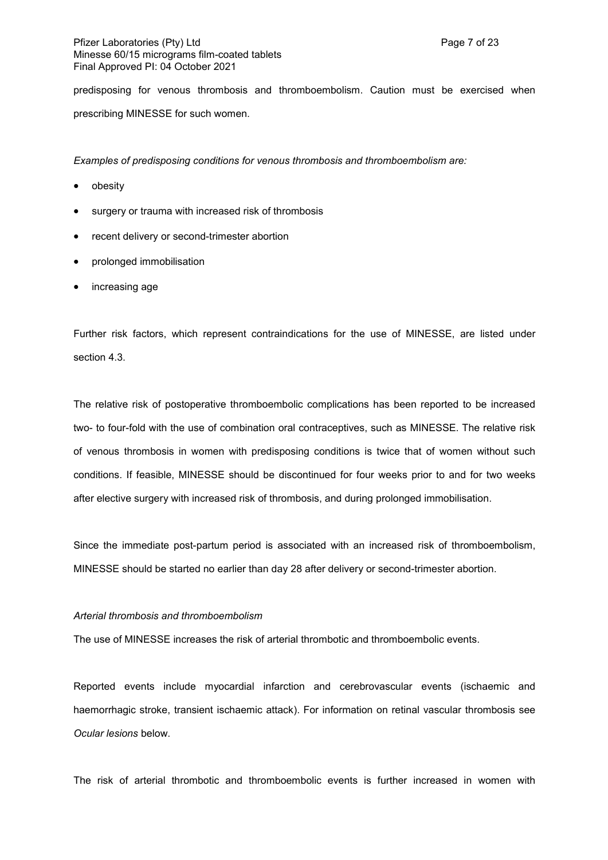predisposing for venous thrombosis and thromboembolism. Caution must be exercised when prescribing MINESSE for such women.

*Examples of predisposing conditions for venous thrombosis and thromboembolism are:*

- obesity
- surgery or trauma with increased risk of thrombosis
- recent delivery or second-trimester abortion
- prolonged immobilisation
- increasing age

Further risk factors, which represent contraindications for the use of MINESSE, are listed under section 4.3.

The relative risk of postoperative thromboembolic complications has been reported to be increased two- to four-fold with the use of combination oral contraceptives, such as MINESSE. The relative risk of venous thrombosis in women with predisposing conditions is twice that of women without such conditions. If feasible, MINESSE should be discontinued for four weeks prior to and for two weeks after elective surgery with increased risk of thrombosis, and during prolonged immobilisation.

Since the immediate post-partum period is associated with an increased risk of thromboembolism, MINESSE should be started no earlier than day 28 after delivery or second-trimester abortion.

#### *Arterial thrombosis and thromboembolism*

The use of MINESSE increases the risk of arterial thrombotic and thromboembolic events.

Reported events include myocardial infarction and cerebrovascular events (ischaemic and haemorrhagic stroke, transient ischaemic attack). For information on retinal vascular thrombosis see *Ocular lesions* below.

The risk of arterial thrombotic and thromboembolic events is further increased in women with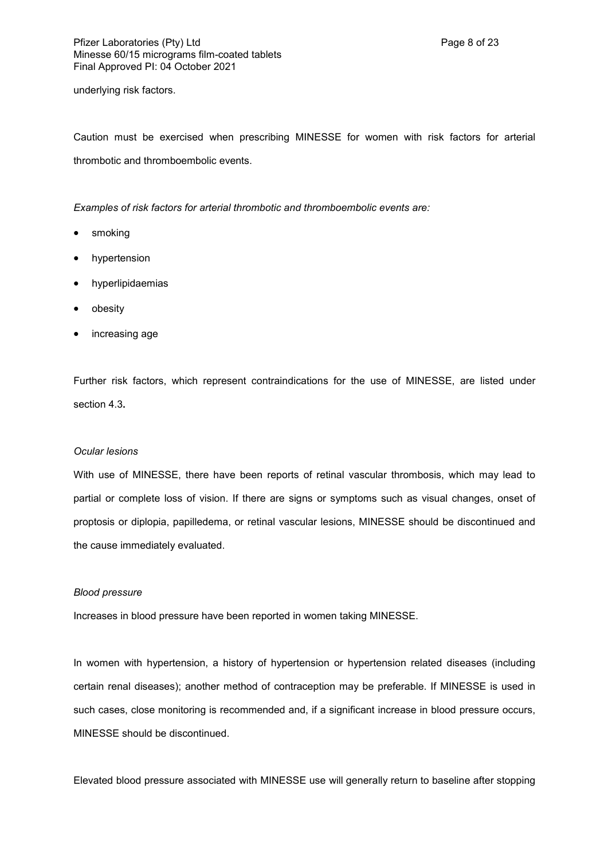underlying risk factors.

Caution must be exercised when prescribing MINESSE for women with risk factors for arterial thrombotic and thromboembolic events.

*Examples of risk factors for arterial thrombotic and thromboembolic events are:*

- smoking
- hypertension
- hyperlipidaemias
- obesity
- increasing age

Further risk factors, which represent contraindications for the use of MINESSE, are listed under section 4.3**.**

#### *Ocular lesions*

With use of MINESSE, there have been reports of retinal vascular thrombosis, which may lead to partial or complete loss of vision. If there are signs or symptoms such as visual changes, onset of proptosis or diplopia, papilledema, or retinal vascular lesions, MINESSE should be discontinued and the cause immediately evaluated.

#### *Blood pressure*

Increases in blood pressure have been reported in women taking MINESSE.

In women with hypertension, a history of hypertension or hypertension related diseases (including certain renal diseases); another method of contraception may be preferable. If MINESSE is used in such cases, close monitoring is recommended and, if a significant increase in blood pressure occurs, MINESSE should be discontinued.

Elevated blood pressure associated with MINESSE use will generally return to baseline after stopping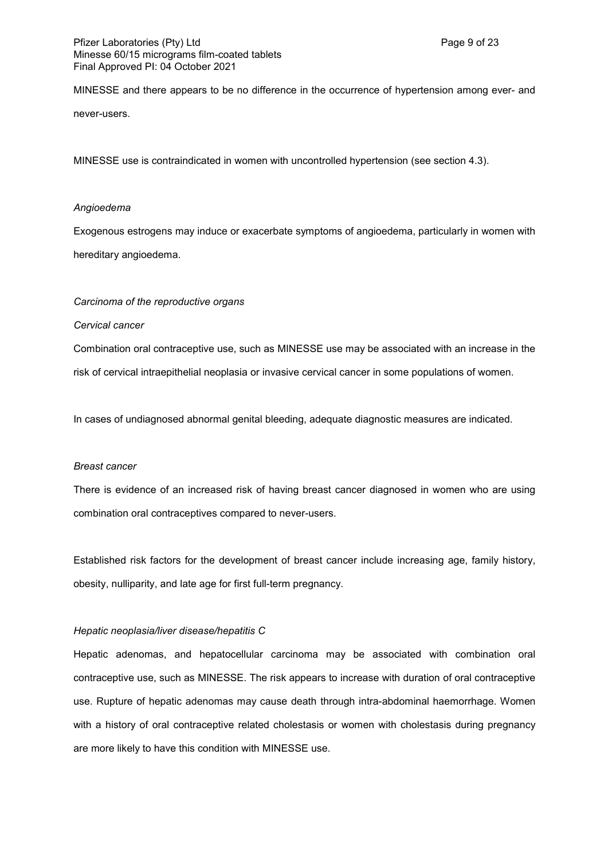MINESSE and there appears to be no difference in the occurrence of hypertension among ever- and never-users.

MINESSE use is contraindicated in women with uncontrolled hypertension (see section 4.3).

## *Angioedema*

Exogenous estrogens may induce or exacerbate symptoms of angioedema, particularly in women with hereditary angioedema.

## *Carcinoma of the reproductive organs*

*Cervical cancer*

Combination oral contraceptive use, such as MINESSE use may be associated with an increase in the risk of cervical intraepithelial neoplasia or invasive cervical cancer in some populations of women.

In cases of undiagnosed abnormal genital bleeding, adequate diagnostic measures are indicated.

#### *Breast cancer*

There is evidence of an increased risk of having breast cancer diagnosed in women who are using combination oral contraceptives compared to never-users.

Established risk factors for the development of breast cancer include increasing age, family history, obesity, nulliparity, and late age for first full-term pregnancy.

## *Hepatic neoplasia/liver disease/hepatitis C*

Hepatic adenomas, and hepatocellular carcinoma may be associated with combination oral contraceptive use, such as MINESSE. The risk appears to increase with duration of oral contraceptive use. Rupture of hepatic adenomas may cause death through intra-abdominal haemorrhage. Women with a history of oral contraceptive related cholestasis or women with cholestasis during pregnancy are more likely to have this condition with MINESSE use.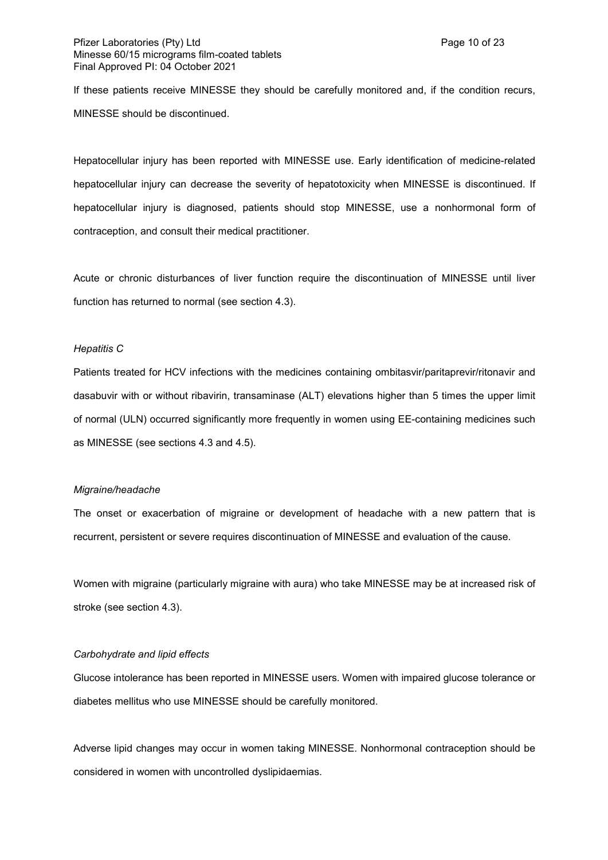If these patients receive MINESSE they should be carefully monitored and, if the condition recurs, MINESSE should be discontinued.

Hepatocellular injury has been reported with MINESSE use. Early identification of medicine-related hepatocellular injury can decrease the severity of hepatotoxicity when MINESSE is discontinued. If hepatocellular injury is diagnosed, patients should stop MINESSE, use a nonhormonal form of contraception, and consult their medical practitioner.

Acute or chronic disturbances of liver function require the discontinuation of MINESSE until liver function has returned to normal (see section 4.3).

## *Hepatitis C*

Patients treated for HCV infections with the medicines containing ombitasvir/paritaprevir/ritonavir and dasabuvir with or without ribavirin, transaminase (ALT) elevations higher than 5 times the upper limit of normal (ULN) occurred significantly more frequently in women using EE-containing medicines such as MINESSE (see sections 4.3 and 4.5).

#### *Migraine/headache*

The onset or exacerbation of migraine or development of headache with a new pattern that is recurrent, persistent or severe requires discontinuation of MINESSE and evaluation of the cause.

Women with migraine (particularly migraine with aura) who take MINESSE may be at increased risk of stroke (see section 4.3).

## *Carbohydrate and lipid effects*

Glucose intolerance has been reported in MINESSE users. Women with impaired glucose tolerance or diabetes mellitus who use MINESSE should be carefully monitored.

Adverse lipid changes may occur in women taking MINESSE. Nonhormonal contraception should be considered in women with uncontrolled dyslipidaemias.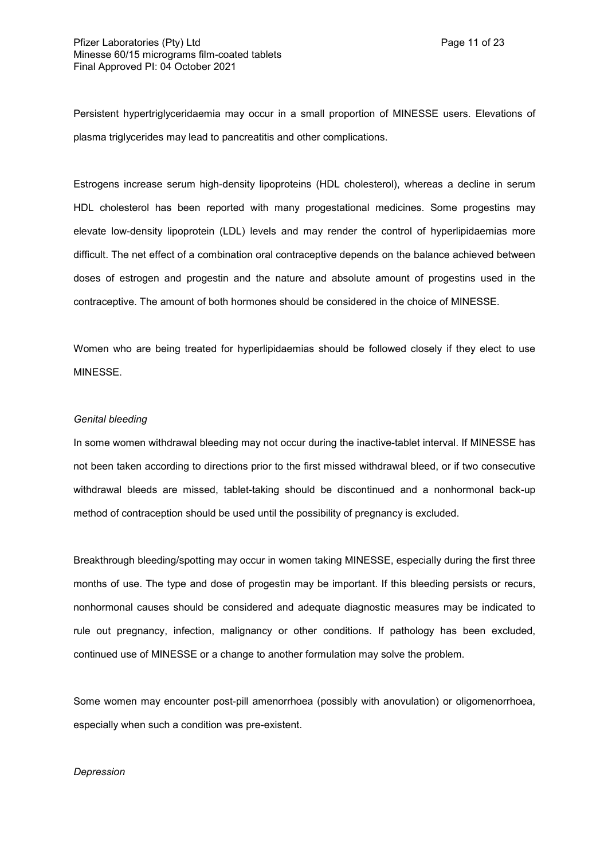Persistent hypertriglyceridaemia may occur in a small proportion of MINESSE users. Elevations of plasma triglycerides may lead to pancreatitis and other complications.

Estrogens increase serum high-density lipoproteins (HDL cholesterol), whereas a decline in serum HDL cholesterol has been reported with many progestational medicines. Some progestins may elevate low-density lipoprotein (LDL) levels and may render the control of hyperlipidaemias more difficult. The net effect of a combination oral contraceptive depends on the balance achieved between doses of estrogen and progestin and the nature and absolute amount of progestins used in the contraceptive. The amount of both hormones should be considered in the choice of MINESSE.

Women who are being treated for hyperlipidaemias should be followed closely if they elect to use MINESSE.

## *Genital bleeding*

In some women withdrawal bleeding may not occur during the inactive-tablet interval. If MINESSE has not been taken according to directions prior to the first missed withdrawal bleed, or if two consecutive withdrawal bleeds are missed, tablet-taking should be discontinued and a nonhormonal back-up method of contraception should be used until the possibility of pregnancy is excluded.

Breakthrough bleeding/spotting may occur in women taking MINESSE, especially during the first three months of use. The type and dose of progestin may be important. If this bleeding persists or recurs, nonhormonal causes should be considered and adequate diagnostic measures may be indicated to rule out pregnancy, infection, malignancy or other conditions. If pathology has been excluded, continued use of MINESSE or a change to another formulation may solve the problem.

Some women may encounter post-pill amenorrhoea (possibly with anovulation) or oligomenorrhoea, especially when such a condition was pre-existent.

## *Depression*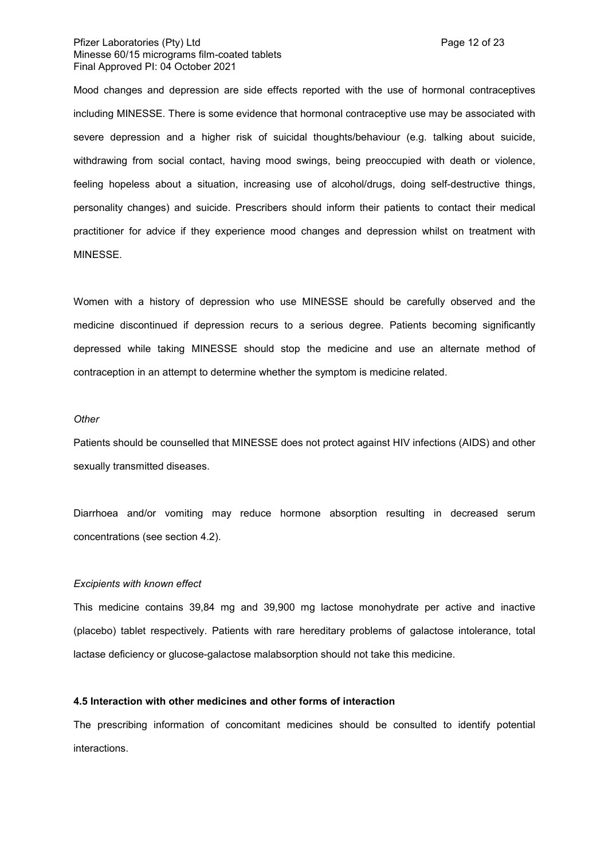## Pfizer Laboratories (Pty) Ltd **Page 12 of 23 Page 12 of 23** Minesse 60/15 micrograms film-coated tablets Final Approved PI: 04 October 2021

Mood changes and depression are side effects reported with the use of hormonal contraceptives including MINESSE. There is some evidence that hormonal contraceptive use may be associated with severe depression and a higher risk of suicidal thoughts/behaviour (e.g. talking about suicide, withdrawing from social contact, having mood swings, being preoccupied with death or violence, feeling hopeless about a situation, increasing use of alcohol/drugs, doing self-destructive things, personality changes) and suicide. Prescribers should inform their patients to contact their medical practitioner for advice if they experience mood changes and depression whilst on treatment with MINESSE.

Women with a history of depression who use MINESSE should be carefully observed and the medicine discontinued if depression recurs to a serious degree. Patients becoming significantly depressed while taking MINESSE should stop the medicine and use an alternate method of contraception in an attempt to determine whether the symptom is medicine related.

## *Other*

Patients should be counselled that MINESSE does not protect against HIV infections (AIDS) and other sexually transmitted diseases.

Diarrhoea and/or vomiting may reduce hormone absorption resulting in decreased serum concentrations (see section 4.2).

#### *Excipients with known effect*

This medicine contains 39,84 mg and 39,900 mg lactose monohydrate per active and inactive (placebo) tablet respectively. Patients with rare hereditary problems of galactose intolerance, total lactase deficiency or glucose-galactose malabsorption should not take this medicine.

## **4.5 Interaction with other medicines and other forms of interaction**

The prescribing information of concomitant medicines should be consulted to identify potential interactions.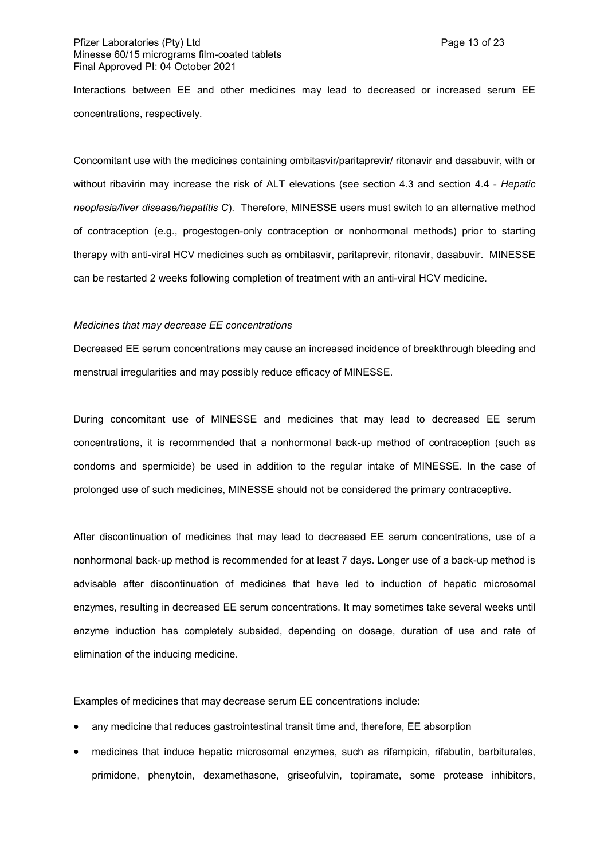## Pfizer Laboratories (Pty) Ltd **Page 13 of 23** Minesse 60/15 micrograms film-coated tablets Final Approved PI: 04 October 2021

Interactions between EE and other medicines may lead to decreased or increased serum EE concentrations, respectively.

Concomitant use with the medicines containing ombitasvir/paritaprevir/ ritonavir and dasabuvir, with or without ribavirin may increase the risk of ALT elevations (see section 4.3 and section 4.4 - *Hepatic neoplasia/liver disease/hepatitis C*). Therefore, MINESSE users must switch to an alternative method of contraception (e.g., progestogen-only contraception or nonhormonal methods) prior to starting therapy with anti-viral HCV medicines such as ombitasvir, paritaprevir, ritonavir, dasabuvir. MINESSE can be restarted 2 weeks following completion of treatment with an anti-viral HCV medicine.

#### *Medicines that may decrease EE concentrations*

Decreased EE serum concentrations may cause an increased incidence of breakthrough bleeding and menstrual irregularities and may possibly reduce efficacy of MINESSE.

During concomitant use of MINESSE and medicines that may lead to decreased EE serum concentrations, it is recommended that a nonhormonal back-up method of contraception (such as condoms and spermicide) be used in addition to the regular intake of MINESSE. In the case of prolonged use of such medicines, MINESSE should not be considered the primary contraceptive.

After discontinuation of medicines that may lead to decreased EE serum concentrations, use of a nonhormonal back-up method is recommended for at least 7 days. Longer use of a back-up method is advisable after discontinuation of medicines that have led to induction of hepatic microsomal enzymes, resulting in decreased EE serum concentrations. It may sometimes take several weeks until enzyme induction has completely subsided, depending on dosage, duration of use and rate of elimination of the inducing medicine.

Examples of medicines that may decrease serum EE concentrations include:

- any medicine that reduces gastrointestinal transit time and, therefore, EE absorption
- medicines that induce hepatic microsomal enzymes, such as rifampicin, rifabutin, barbiturates, primidone, phenytoin, dexamethasone, griseofulvin, topiramate, some protease inhibitors,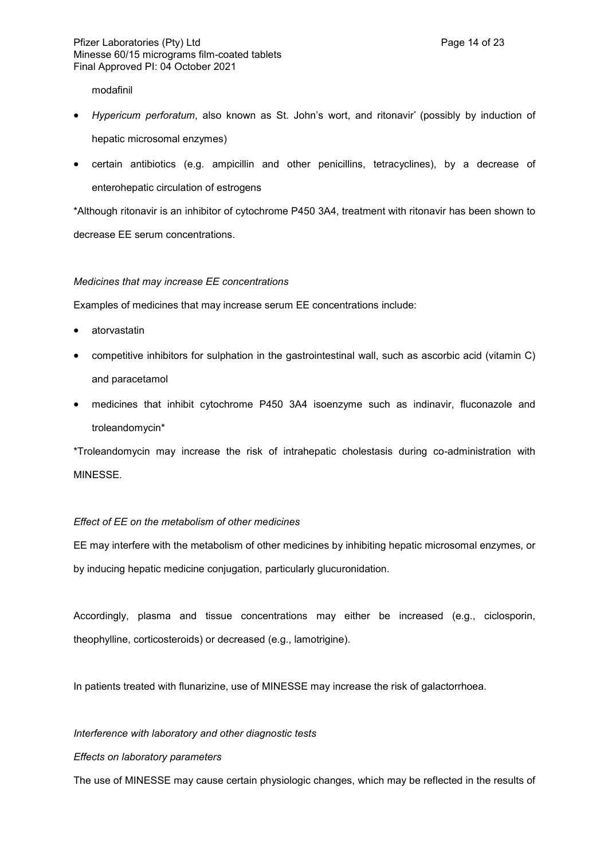modafinil

- Hypericum perforatum, also known as St. John's wort, and ritonavir<sup>\*</sup> (possibly by induction of hepatic microsomal enzymes)
- certain antibiotics (e.g. ampicillin and other penicillins, tetracyclines), by a decrease of enterohepatic circulation of estrogens

\*Although ritonavir is an inhibitor of cytochrome P450 3A4, treatment with ritonavir has been shown to decrease EE serum concentrations.

## *Medicines that may increase EE concentrations*

Examples of medicines that may increase serum EE concentrations include:

- atorvastatin
- competitive inhibitors for sulphation in the gastrointestinal wall, such as ascorbic acid (vitamin C) and paracetamol
- medicines that inhibit cytochrome P450 3A4 isoenzyme such as indinavir, fluconazole and troleandomycin\*

\*Troleandomycin may increase the risk of intrahepatic cholestasis during co-administration with MINESSE.

# *Effect of EE on the metabolism of other medicines*

EE may interfere with the metabolism of other medicines by inhibiting hepatic microsomal enzymes, or by inducing hepatic medicine conjugation, particularly glucuronidation.

Accordingly, plasma and tissue concentrations may either be increased (e.g., ciclosporin, theophylline, corticosteroids) or decreased (e.g., lamotrigine).

In patients treated with flunarizine, use of MINESSE may increase the risk of galactorrhoea.

## *Interference with laboratory and other diagnostic tests*

## *Effects on laboratory parameters*

The use of MINESSE may cause certain physiologic changes, which may be reflected in the results of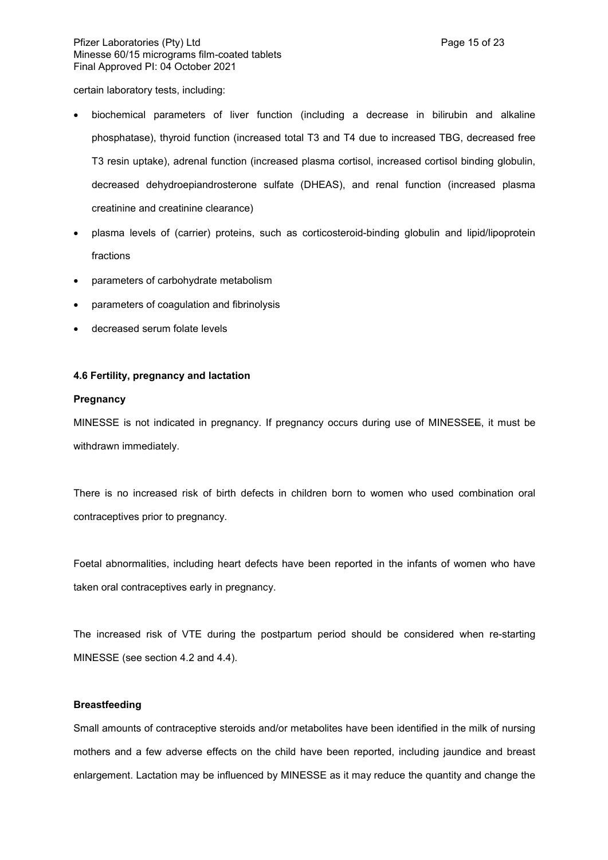certain laboratory tests, including:

- biochemical parameters of liver function (including a decrease in bilirubin and alkaline phosphatase), thyroid function (increased total T3 and T4 due to increased TBG, decreased free T3 resin uptake), adrenal function (increased plasma cortisol, increased cortisol binding globulin, decreased dehydroepiandrosterone sulfate (DHEAS), and renal function (increased plasma creatinine and creatinine clearance)
- plasma levels of (carrier) proteins, such as corticosteroid-binding globulin and lipid/lipoprotein fractions
- parameters of carbohydrate metabolism
- parameters of coagulation and fibrinolysis
- decreased serum folate levels

## **4.6 Fertility, pregnancy and lactation**

## **Pregnancy**

MINESSE is not indicated in pregnancy. If pregnancy occurs during use of MINESSEE, it must be withdrawn immediately.

There is no increased risk of birth defects in children born to women who used combination oral contraceptives prior to pregnancy.

Foetal abnormalities, including heart defects have been reported in the infants of women who have taken oral contraceptives early in pregnancy.

The increased risk of VTE during the postpartum period should be considered when re-starting MINESSE (see section 4.2 and 4.4).

## **Breastfeeding**

Small amounts of contraceptive steroids and/or metabolites have been identified in the milk of nursing mothers and a few adverse effects on the child have been reported, including jaundice and breast enlargement. Lactation may be influenced by MINESSE as it may reduce the quantity and change the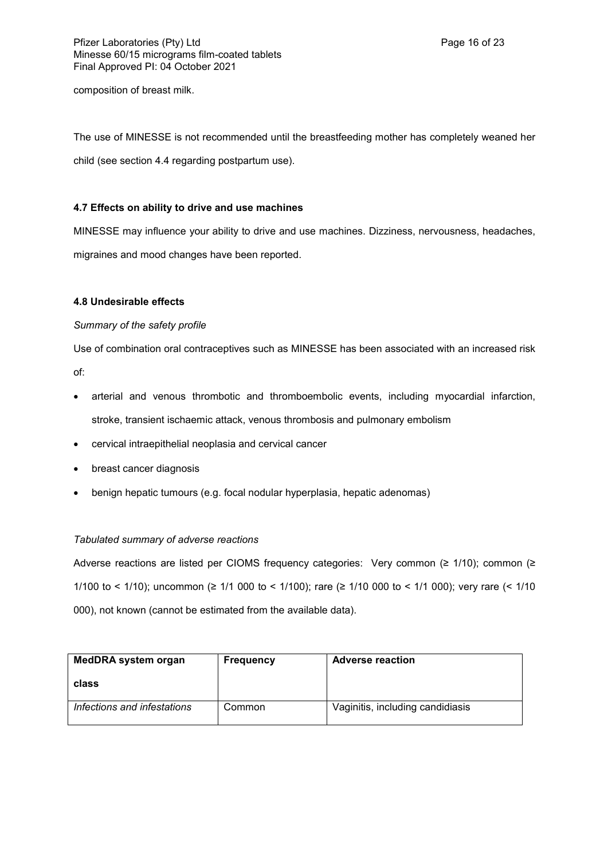composition of breast milk.

The use of MINESSE is not recommended until the breastfeeding mother has completely weaned her child (see section 4.4 regarding postpartum use).

# **4.7 Effects on ability to drive and use machines**

MINESSE may influence your ability to drive and use machines. Dizziness, nervousness, headaches, migraines and mood changes have been reported.

# **4.8 Undesirable effects**

## *Summary of the safety profile*

Use of combination oral contraceptives such as MINESSE has been associated with an increased risk

of:

- arterial and venous thrombotic and thromboembolic events, including myocardial infarction, stroke, transient ischaemic attack, venous thrombosis and pulmonary embolism
- cervical intraepithelial neoplasia and cervical cancer
- breast cancer diagnosis
- benign hepatic tumours (e.g. focal nodular hyperplasia, hepatic adenomas)

# *Tabulated summary of adverse reactions*

Adverse reactions are listed per CIOMS frequency categories: Very common (≥ 1/10); common (≥ 1/100 to < 1/10); uncommon (≥ 1/1 000 to < 1/100); rare (≥ 1/10 000 to < 1/1 000); very rare (< 1/10 000), not known (cannot be estimated from the available data).

| MedDRA system organ         | <b>Frequency</b> | <b>Adverse reaction</b>          |
|-----------------------------|------------------|----------------------------------|
| class                       |                  |                                  |
| Infections and infestations | Common           | Vaginitis, including candidiasis |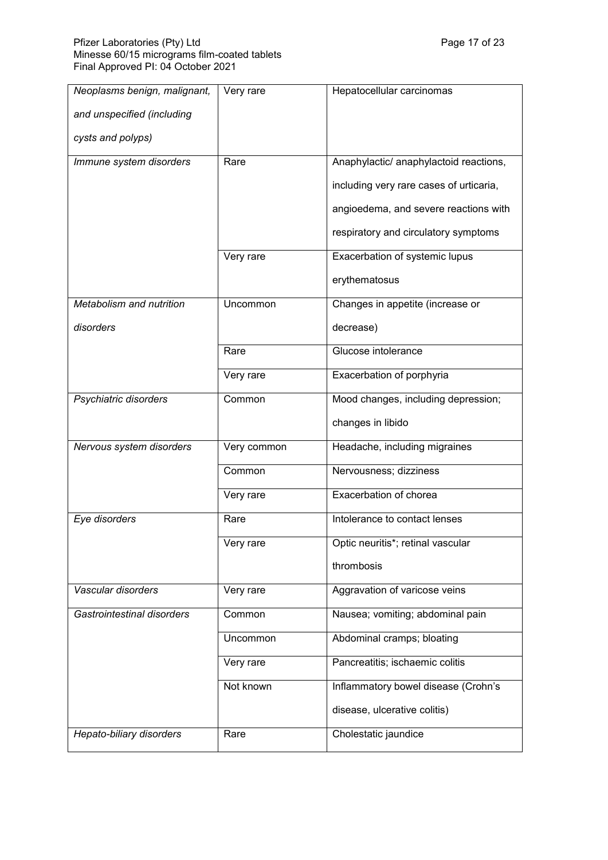| Neoplasms benign, malignant, | Very rare   | Hepatocellular carcinomas               |
|------------------------------|-------------|-----------------------------------------|
| and unspecified (including   |             |                                         |
| cysts and polyps)            |             |                                         |
| Immune system disorders      | Rare        | Anaphylactic/ anaphylactoid reactions,  |
|                              |             | including very rare cases of urticaria, |
|                              |             | angioedema, and severe reactions with   |
|                              |             | respiratory and circulatory symptoms    |
|                              | Very rare   | Exacerbation of systemic lupus          |
|                              |             | erythematosus                           |
| Metabolism and nutrition     | Uncommon    | Changes in appetite (increase or        |
| disorders                    |             | decrease)                               |
|                              | Rare        | Glucose intolerance                     |
|                              | Very rare   | Exacerbation of porphyria               |
| Psychiatric disorders        | Common      | Mood changes, including depression;     |
|                              |             | changes in libido                       |
| Nervous system disorders     | Very common | Headache, including migraines           |
|                              | Common      | Nervousness; dizziness                  |
|                              | Very rare   | Exacerbation of chorea                  |
| Eye disorders                | Rare        | Intolerance to contact lenses           |
|                              | Very rare   | Optic neuritis*; retinal vascular       |
|                              |             | thrombosis                              |
| Vascular disorders           | Very rare   | Aggravation of varicose veins           |
| Gastrointestinal disorders   | Common      | Nausea; vomiting; abdominal pain        |
|                              | Uncommon    | Abdominal cramps; bloating              |
|                              | Very rare   | Pancreatitis; ischaemic colitis         |
|                              | Not known   | Inflammatory bowel disease (Crohn's     |
|                              |             | disease, ulcerative colitis)            |
| Hepato-biliary disorders     | Rare        | Cholestatic jaundice                    |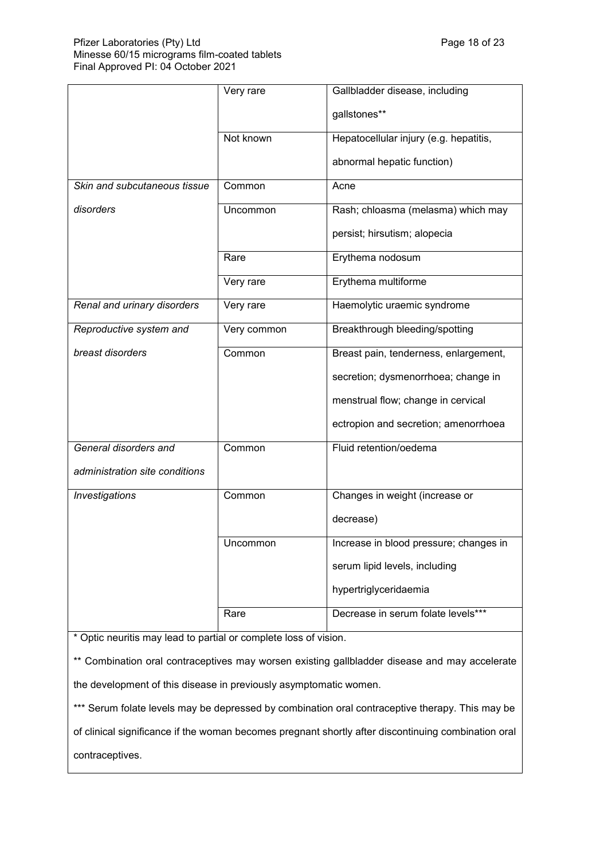|                                | Very rare   | Gallbladder disease, including         |
|--------------------------------|-------------|----------------------------------------|
|                                |             | gallstones**                           |
|                                | Not known   | Hepatocellular injury (e.g. hepatitis, |
|                                |             | abnormal hepatic function)             |
| Skin and subcutaneous tissue   | Common      | Acne                                   |
| disorders                      | Uncommon    | Rash; chloasma (melasma) which may     |
|                                |             | persist; hirsutism; alopecia           |
|                                | Rare        | Erythema nodosum                       |
|                                | Very rare   | Erythema multiforme                    |
| Renal and urinary disorders    | Very rare   | Haemolytic uraemic syndrome            |
| Reproductive system and        | Very common | Breakthrough bleeding/spotting         |
| breast disorders               | Common      | Breast pain, tenderness, enlargement,  |
|                                |             | secretion; dysmenorrhoea; change in    |
|                                |             | menstrual flow; change in cervical     |
|                                |             | ectropion and secretion; amenorrhoea   |
| General disorders and          | Common      | Fluid retention/oedema                 |
| administration site conditions |             |                                        |
| Investigations                 | Common      | Changes in weight (increase or         |
|                                |             | decrease)                              |
|                                | Uncommon    | Increase in blood pressure; changes in |
|                                |             | serum lipid levels, including          |
|                                |             | hypertriglyceridaemia                  |
|                                | Rare        | Decrease in serum folate levels***     |

\* Optic neuritis may lead to partial or complete loss of vision.

\*\* Combination oral contraceptives may worsen existing gallbladder disease and may accelerate the development of this disease in previously asymptomatic women.

\*\*\* Serum folate levels may be depressed by combination oral contraceptive therapy. This may be

of clinical significance if the woman becomes pregnant shortly after discontinuing combination oral

contraceptives.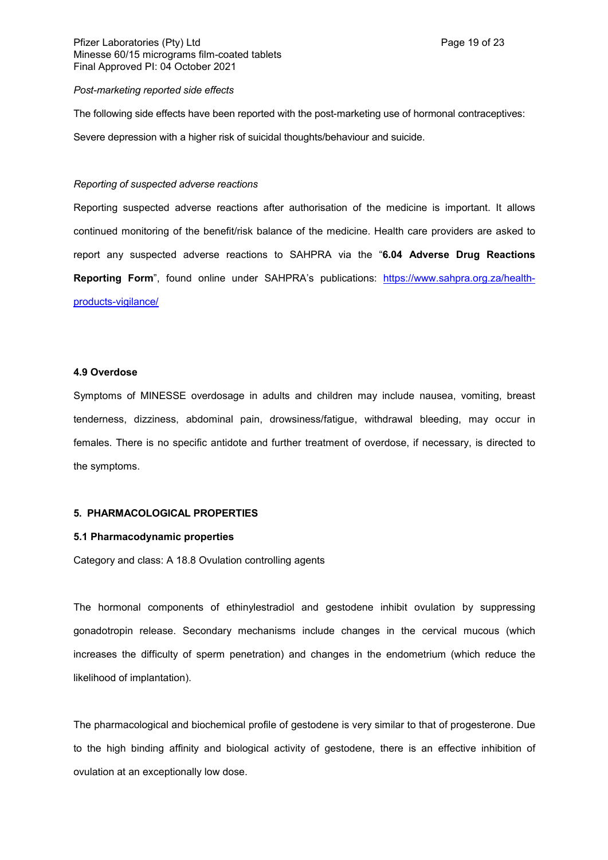#### *Post-marketing reported side effects*

The following side effects have been reported with the post-marketing use of hormonal contraceptives:

Severe depression with a higher risk of suicidal thoughts/behaviour and suicide.

#### *Reporting of suspected adverse reactions*

Reporting suspected adverse reactions after authorisation of the medicine is important. It allows continued monitoring of the benefit/risk balance of the medicine. Health care providers are asked to report any suspected adverse reactions to SAHPRA via the "**6.04 Adverse Drug Reactions Reporting Form**", found online under SAHPRA's publications: [https://www.sahpra.org.za/health](https://www.sahpra.org.za/health-products-vigilance/)[products-vigilance/](https://www.sahpra.org.za/health-products-vigilance/)

#### **4.9 Overdose**

Symptoms of MINESSE overdosage in adults and children may include nausea, vomiting, breast tenderness, dizziness, abdominal pain, drowsiness/fatigue, withdrawal bleeding, may occur in females. There is no specific antidote and further treatment of overdose, if necessary, is directed to the symptoms.

#### **5. PHARMACOLOGICAL PROPERTIES**

#### **5.1 Pharmacodynamic properties**

Category and class: A 18.8 Ovulation controlling agents

The hormonal components of ethinylestradiol and gestodene inhibit ovulation by suppressing gonadotropin release. Secondary mechanisms include changes in the cervical mucous (which increases the difficulty of sperm penetration) and changes in the endometrium (which reduce the likelihood of implantation).

The pharmacological and biochemical profile of gestodene is very similar to that of progesterone. Due to the high binding affinity and biological activity of gestodene, there is an effective inhibition of ovulation at an exceptionally low dose.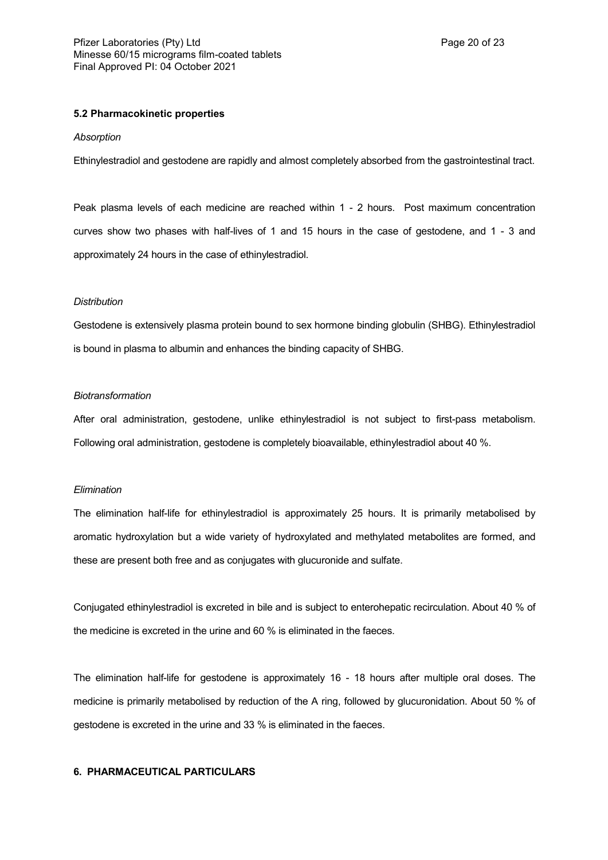## **5.2 Pharmacokinetic properties**

#### *Absorption*

Ethinylestradiol and gestodene are rapidly and almost completely absorbed from the gastrointestinal tract.

Peak plasma levels of each medicine are reached within 1 - 2 hours. Post maximum concentration curves show two phases with half-lives of 1 and 15 hours in the case of gestodene, and 1 - 3 and approximately 24 hours in the case of ethinylestradiol.

#### *Distribution*

Gestodene is extensively plasma protein bound to sex hormone binding globulin (SHBG). Ethinylestradiol is bound in plasma to albumin and enhances the binding capacity of SHBG.

#### *Biotransformation*

After oral administration, gestodene, unlike ethinylestradiol is not subject to first-pass metabolism. Following oral administration, gestodene is completely bioavailable, ethinylestradiol about 40 %.

#### *Elimination*

The elimination half-life for ethinylestradiol is approximately 25 hours. It is primarily metabolised by aromatic hydroxylation but a wide variety of hydroxylated and methylated metabolites are formed, and these are present both free and as conjugates with glucuronide and sulfate.

Conjugated ethinylestradiol is excreted in bile and is subject to enterohepatic recirculation. About 40 % of the medicine is excreted in the urine and 60 % is eliminated in the faeces.

The elimination half-life for gestodene is approximately 16 - 18 hours after multiple oral doses. The medicine is primarily metabolised by reduction of the A ring, followed by glucuronidation. About 50 % of gestodene is excreted in the urine and 33 % is eliminated in the faeces.

## **6. PHARMACEUTICAL PARTICULARS**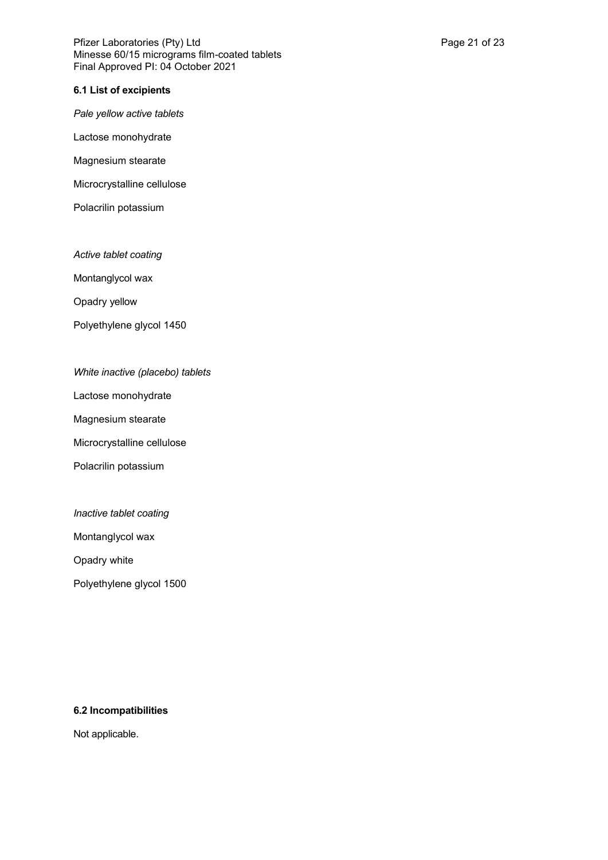Pfizer Laboratories (Pty) Ltd **Philosopheratories** (Pty) Ltd **Page 21 of 23** Minesse 60/15 micrograms film-coated tablets Final Approved PI: 04 October 2021

## **6.1 List of excipients**

*Pale yellow active tablets*

Lactose monohydrate

Magnesium stearate

Microcrystalline cellulose

Polacrilin potassium

*Active tablet coating*

Montanglycol wax

Opadry yellow

Polyethylene glycol 1450

# *White inactive (placebo) tablets*

Lactose monohydrate

Magnesium stearate

Microcrystalline cellulose

Polacrilin potassium

*Inactive tablet coating*

Montanglycol wax

Opadry white

Polyethylene glycol 1500

# **6.2 Incompatibilities**

Not applicable.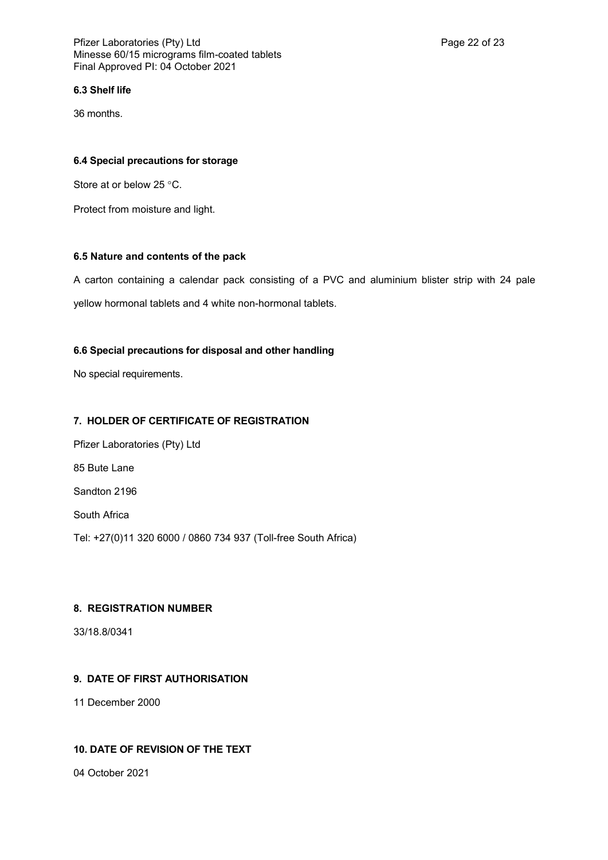## **6.3 Shelf life**

36 months.

## **6.4 Special precautions for storage**

Store at or below 25 °C.

Protect from moisture and light.

# **6.5 Nature and contents of the pack**

A carton containing a calendar pack consisting of a PVC and aluminium blister strip with 24 pale yellow hormonal tablets and 4 white non-hormonal tablets.

# **6.6 Special precautions for disposal and other handling**

No special requirements.

# **7. HOLDER OF CERTIFICATE OF REGISTRATION**

Pfizer Laboratories (Pty) Ltd 85 Bute Lane Sandton 2196 South Africa Tel: +27(0)11 320 6000 / 0860 734 937 (Toll-free South Africa)

# **8. REGISTRATION NUMBER**

33/18.8/0341

# **9. DATE OF FIRST AUTHORISATION**

11 December 2000

# **10. DATE OF REVISION OF THE TEXT**

04 October 2021